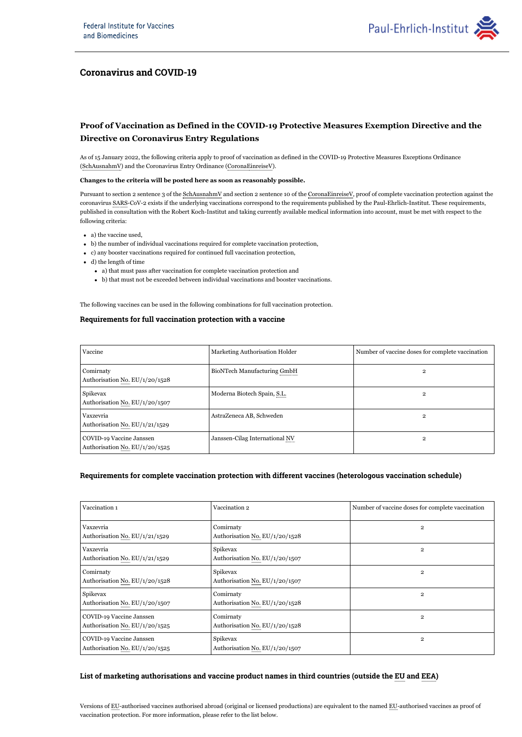

## **Coronavirus and COVID-19**

# **Proof of Vaccination as Defined in the COVID-19 Protective Measures Exemption Directive and the Directive on Coronavirus Entry Regulations**

As of 15 January 2022, the following criteria apply to proof of vaccination as defined in the COVID-19 Protective Measures Exceptions Ordinance (SchAusnahmV) and the Coronavirus Entry Ordinance (CoronaEinreiseV).

#### **Changes to the criteria will be posted here as soon as reasonably possible.**

Pursuant to section 2 sentence 3 of the SchAusnahmV and section 2 sentence 10 of the CoronaEinreiseV, proof of complete vaccination protection against the coronavirus SARS-CoV-2 exists if the underlying vaccinations correspond to the requirements published by the Paul-Ehrlich-Institut. These requirements, published in consultation with the Robert Koch-Institut and taking currently available medical information into account, must be met with respect to the following criteria:

- a) the vaccine used,
- b) the number of individual vaccinations required for complete vaccination protection,
- c) any booster vaccinations required for continued full vaccination protection,
- d) the length of time
	- a) that must pass after vaccination for complete vaccination protection and
	- b) that must not be exceeded between individual vaccinations and booster vaccinations.

The following vaccines can be used in the following combinations for full vaccination protection.

### **Requirements for full vaccination protection with a vaccine**

| Vaccine                                                    | Marketing Authorisation Holder | Number of vaccine doses for complete vaccination |
|------------------------------------------------------------|--------------------------------|--------------------------------------------------|
| Comirnaty<br>Authorisation No. EU/1/20/1528                | BioNTech Manufacturing GmbH    | 2                                                |
| Spikevax<br>Authorisation No. EU/1/20/1507                 | Moderna Biotech Spain, S.L.    | $\overline{2}$                                   |
| Vaxzevria<br>Authorisation No. EU/1/21/1529                | AstraZeneca AB, Schweden       | 2                                                |
| COVID-19 Vaccine Janssen<br>Authorisation No. EU/1/20/1525 | Janssen-Cilag International NV | $\overline{2}$                                   |

#### **Requirements for complete vaccination protection with different vaccines (heterologous vaccination schedule)**

| Vaccination 1                                              | Vaccination 2                               | Number of vaccine doses for complete vaccination |
|------------------------------------------------------------|---------------------------------------------|--------------------------------------------------|
| Vaxzevria<br>Authorisation No. EU/1/21/1529                | Comirnaty<br>Authorisation No. EU/1/20/1528 | $\overline{2}$                                   |
| Vaxzevria<br>Authorisation No. EU/1/21/1529                | Spikevax<br>Authorisation No. EU/1/20/1507  | $\overline{2}$                                   |
| Comirnaty<br>Authorisation No. EU/1/20/1528                | Spikevax<br>Authorisation No. EU/1/20/1507  | $\overline{2}$                                   |
| Spikevax<br>Authorisation No. EU/1/20/1507                 | Comirnaty<br>Authorisation No. EU/1/20/1528 | $\overline{2}$                                   |
| COVID-19 Vaccine Janssen<br>Authorisation No. EU/1/20/1525 | Comirnaty<br>Authorisation No. EU/1/20/1528 | $\overline{2}$                                   |
| COVID-19 Vaccine Janssen<br>Authorisation No. EU/1/20/1525 | Spikevax<br>Authorisation No. EU/1/20/1507  | $\overline{2}$                                   |

### **List of marketing authorisations and vaccine product names in third countries (outside the and ) EU EEA**

Versions of EU-authorised vaccines authorised abroad (original or licensed productions) are equivalent to the named EU-authorised vaccines as proof of vaccination protection. For more information, please refer to the list below.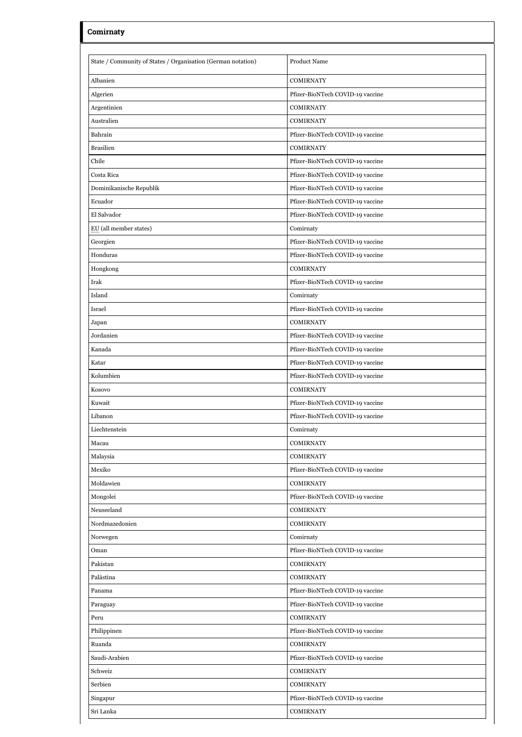| Comirnaty                                                    |                                  |
|--------------------------------------------------------------|----------------------------------|
| State / Community of States / Organisation (German notation) | <b>Product Name</b>              |
| Albanien                                                     | <b>COMIRNATY</b>                 |
| Algerien                                                     | Pfizer-BioNTech COVID-19 vaccine |
| Argentinien                                                  | <b>COMIRNATY</b>                 |
| Australien                                                   | <b>COMIRNATY</b>                 |
| Bahrain                                                      | Pfizer-BioNTech COVID-19 vaccine |
| <b>Brasilien</b>                                             | <b>COMIRNATY</b>                 |
| Chile                                                        | Pfizer-BioNTech COVID-19 vaccine |
| Costa Rica                                                   | Pfizer-BioNTech COVID-19 vaccine |
| Dominikanische Republik                                      | Pfizer-BioNTech COVID-19 vaccine |
| Ecuador                                                      | Pfizer-BioNTech COVID-19 vaccine |
| El Salvador                                                  | Pfizer-BioNTech COVID-19 vaccine |
| EU (all member states)                                       | Comirnaty                        |
| Georgien                                                     | Pfizer-BioNTech COVID-19 vaccine |
| Honduras                                                     | Pfizer-BioNTech COVID-19 vaccine |
| Hongkong                                                     | <b>COMIRNATY</b>                 |
| Irak                                                         | Pfizer-BioNTech COVID-19 vaccine |
| Island                                                       | Comirnaty                        |
| Israel                                                       | Pfizer-BioNTech COVID-19 vaccine |
| Japan                                                        | <b>COMIRNATY</b>                 |
| Jordanien                                                    | Pfizer-BioNTech COVID-19 vaccine |
| Kanada                                                       | Pfizer-BioNTech COVID-19 vaccine |
| Katar                                                        | Pfizer-BioNTech COVID-19 vaccine |
| Kolumbien                                                    | Pfizer-BioNTech COVID-19 vaccine |
| Kosovo                                                       | <b>COMIRNATY</b>                 |
| Kuwait                                                       | Pfizer-BioNTech COVID-19 vaccine |
| Libanon                                                      | Pfizer-BioNTech COVID-19 vaccine |
| Liechtenstein                                                | Comirnaty                        |
| Macau                                                        | <b>COMIRNATY</b>                 |
| Malaysia                                                     | <b>COMIRNATY</b>                 |
| Mexiko                                                       | Pfizer-BioNTech COVID-19 vaccine |
| Moldawien                                                    | <b>COMIRNATY</b>                 |
| Mongolei                                                     | Pfizer-BioNTech COVID-19 vaccine |
| Neuseeland                                                   | <b>COMIRNATY</b>                 |
| Nordmazedonien                                               | <b>COMIRNATY</b>                 |
| Norwegen                                                     | Comirnaty                        |
| Oman                                                         | Pfizer-BioNTech COVID-19 vaccine |
| Pakistan                                                     | <b>COMIRNATY</b>                 |
| Palästina                                                    | <b>COMIRNATY</b>                 |
| Panama                                                       | Pfizer-BioNTech COVID-19 vaccine |
| Paraguay                                                     | Pfizer-BioNTech COVID-19 vaccine |
| Peru                                                         | <b>COMIRNATY</b>                 |
| Philippinen                                                  | Pfizer-BioNTech COVID-19 vaccine |
| Ruanda                                                       | <b>COMIRNATY</b>                 |
| Saudi-Arabien                                                | Pfizer-BioNTech COVID-19 vaccine |
| Schweiz                                                      | <b>COMIRNATY</b>                 |
| Serbien                                                      | <b>COMIRNATY</b>                 |
| Singapur                                                     | Pfizer-BioNTech COVID-19 vaccine |
| Sri Lanka                                                    | <b>COMIRNATY</b>                 |
|                                                              |                                  |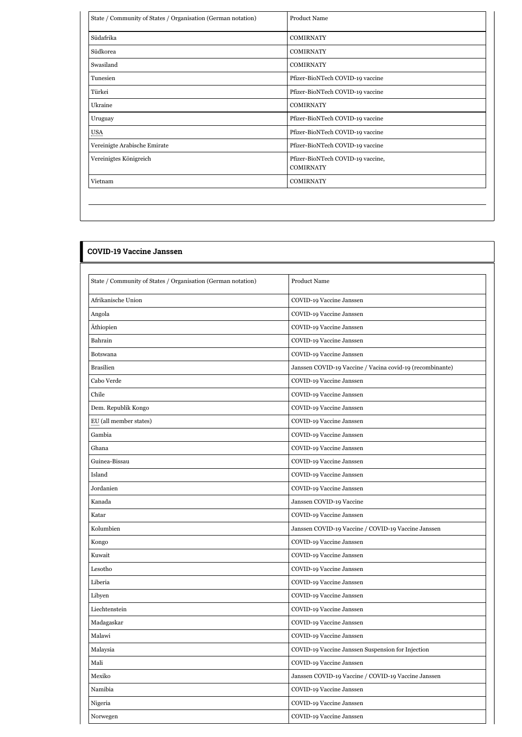| State / Community of States / Organisation (German notation) | <b>Product Name</b>                                   |
|--------------------------------------------------------------|-------------------------------------------------------|
| Südafrika                                                    | <b>COMIRNATY</b>                                      |
| Südkorea                                                     | <b>COMIRNATY</b>                                      |
| Swasiland                                                    | <b>COMIRNATY</b>                                      |
| Tunesien                                                     | Pfizer-BioNTech COVID-19 vaccine                      |
| Türkei                                                       | Pfizer-BioNTech COVID-19 vaccine                      |
| Ukraine                                                      | <b>COMIRNATY</b>                                      |
| Uruguay                                                      | Pfizer-BioNTech COVID-19 vaccine                      |
| <b>USA</b>                                                   | Pfizer-BioNTech COVID-19 vaccine                      |
| Vereinigte Arabische Emirate                                 | Pfizer-BioNTech COVID-19 vaccine                      |
| Vereinigtes Königreich                                       | Pfizer-BioNTech COVID-19 vaccine,<br><b>COMIRNATY</b> |
| Vietnam                                                      | <b>COMIRNATY</b>                                      |

| <b>COVID-19 Vaccine Janssen</b>                              |                                                           |  |
|--------------------------------------------------------------|-----------------------------------------------------------|--|
|                                                              |                                                           |  |
| State / Community of States / Organisation (German notation) | Product Name                                              |  |
| Afrikanische Union                                           | COVID-19 Vaccine Janssen                                  |  |
| Angola                                                       | COVID-19 Vaccine Janssen                                  |  |
| Äthiopien                                                    | COVID-19 Vaccine Janssen                                  |  |
| Bahrain                                                      | COVID-19 Vaccine Janssen                                  |  |
| Botswana                                                     | COVID-19 Vaccine Janssen                                  |  |
| <b>Brasilien</b>                                             | Janssen COVID-19 Vaccine / Vacina covid-19 (recombinante) |  |
| Cabo Verde                                                   | COVID-19 Vaccine Janssen                                  |  |
| Chile                                                        | COVID-19 Vaccine Janssen                                  |  |
| Dem. Republik Kongo                                          | COVID-19 Vaccine Janssen                                  |  |
| EU (all member states)                                       | COVID-19 Vaccine Janssen                                  |  |
| Gambia                                                       | COVID-19 Vaccine Janssen                                  |  |
| Ghana                                                        | COVID-19 Vaccine Janssen                                  |  |
| Guinea-Bissau                                                | COVID-19 Vaccine Janssen                                  |  |
| Island                                                       | COVID-19 Vaccine Janssen                                  |  |
| Jordanien                                                    | COVID-19 Vaccine Janssen                                  |  |
| Kanada                                                       | Janssen COVID-19 Vaccine                                  |  |
| Katar                                                        | COVID-19 Vaccine Janssen                                  |  |
| Kolumbien                                                    | Janssen COVID-19 Vaccine / COVID-19 Vaccine Janssen       |  |
| Kongo                                                        | COVID-19 Vaccine Janssen                                  |  |
| Kuwait                                                       | COVID-19 Vaccine Janssen                                  |  |
| Lesotho                                                      | COVID-19 Vaccine Janssen                                  |  |
| Liberia                                                      | COVID-19 Vaccine Janssen                                  |  |
| Libyen                                                       | COVID-19 Vaccine Janssen                                  |  |
| Liechtenstein                                                | COVID-19 Vaccine Janssen                                  |  |
| Madagaskar                                                   | COVID-19 Vaccine Janssen                                  |  |
| Malawi                                                       | COVID-19 Vaccine Janssen                                  |  |
| Malaysia                                                     | COVID-19 Vaccine Janssen Suspension for Injection         |  |
| Mali                                                         | COVID-19 Vaccine Janssen                                  |  |
| Mexiko                                                       | Janssen COVID-19 Vaccine / COVID-19 Vaccine Janssen       |  |
| Namibia                                                      | COVID-19 Vaccine Janssen                                  |  |
| Nigeria                                                      | COVID-19 Vaccine Janssen                                  |  |
| Norwegen                                                     | COVID-19 Vaccine Janssen                                  |  |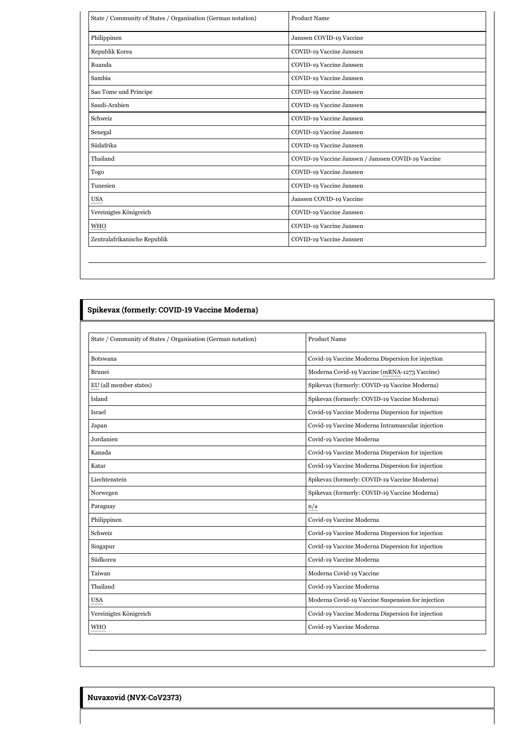| State / Community of States / Organisation (German notation) | Product Name                                        |
|--------------------------------------------------------------|-----------------------------------------------------|
| Philippinen                                                  | Janssen COVID-19 Vaccine                            |
| Republik Korea                                               | COVID-19 Vaccine Janssen                            |
| Ruanda                                                       | COVID-19 Vaccine Janssen                            |
| Sambia                                                       | COVID-19 Vaccine Janssen                            |
| Sao Tome und Principe                                        | COVID-19 Vaccine Janssen                            |
| Saudi-Arabien                                                | COVID-19 Vaccine Janssen                            |
| Schweiz                                                      | COVID-19 Vaccine Janssen                            |
| Senegal                                                      | COVID-19 Vaccine Janssen                            |
| Südafrika                                                    | COVID-19 Vaccine Janssen                            |
| Thailand                                                     | COVID-19 Vaccine Janssen / Janssen COVID-19 Vaccine |
| Togo                                                         | COVID-19 Vaccine Janssen                            |
| Tunesien                                                     | COVID-19 Vaccine Janssen                            |
| USA                                                          | Janssen COVID-19 Vaccine                            |
| Vereinigtes Königreich                                       | COVID-19 Vaccine Janssen                            |
| WHO                                                          | COVID-19 Vaccine Janssen                            |
| Zentralafrikanische Republik                                 | COVID-19 Vaccine Janssen                            |

## **Spikevax (formerly: COVID-19 Vaccine Moderna)**

| State / Community of States / Organisation (German notation) | <b>Product Name</b>                               |
|--------------------------------------------------------------|---------------------------------------------------|
| Botswana                                                     | Covid-19 Vaccine Moderna Dispersion for injection |
| Brunei                                                       | Moderna Covid-19 Vaccine (mRNA-1273 Vaccine)      |
| EU (all member states)                                       | Spikevax (formerly: COVID-19 Vaccine Moderna)     |
| Island                                                       | Spikevax (formerly: COVID-19 Vaccine Moderna)     |
| Israel                                                       | Covid-19 Vaccine Moderna Dispersion for injection |
| Japan                                                        | Covid-19 Vaccine Moderna Intramuscular injection  |
| Jordanien                                                    | Covid-19 Vaccine Moderna                          |
| Kanada                                                       | Covid-19 Vaccine Moderna Dispersion for injection |
| Katar                                                        | Covid-19 Vaccine Moderna Dispersion for injection |
| Liechtenstein                                                | Spikevax (formerly: COVID-19 Vaccine Moderna)     |
| Norwegen                                                     | Spikevax (formerly: COVID-19 Vaccine Moderna)     |
| Paraguay                                                     | n/a                                               |
| Philippinen                                                  | Covid-19 Vaccine Moderna                          |
| Schweiz                                                      | Covid-19 Vaccine Moderna Dispersion for injection |
| Singapur                                                     | Covid-19 Vaccine Moderna Dispersion for injection |
| Südkorea                                                     | Covid-19 Vaccine Moderna                          |
| Taiwan                                                       | Moderna Covid-19 Vaccine                          |
| Thailand                                                     | Covid-19 Vaccine Moderna                          |
| <b>USA</b>                                                   | Moderna Covid-19 Vaccine Suspension for injection |
| Vereinigtes Königreich                                       | Covid-19 Vaccine Moderna Dispersion for injection |
| <b>WHO</b>                                                   | Covid-19 Vaccine Moderna                          |

**Nuvaxovid (NVX-CoV2373)**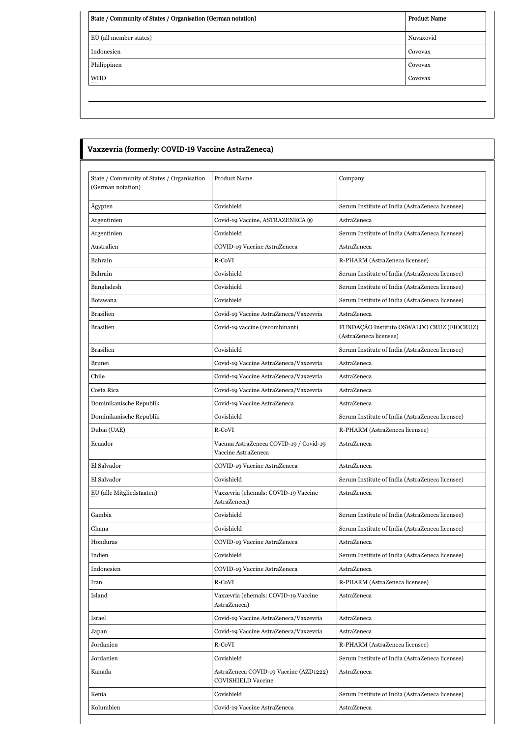| State / Community of States / Organisation (German notation) | <b>Product Name</b> |
|--------------------------------------------------------------|---------------------|
| EU (all member states)                                       | Nuvaxovid           |
| Indonesien                                                   | Covovax             |
| Philippinen                                                  | Covovax             |
| <b>WHO</b><br>--------------                                 | Covovax             |
|                                                              |                     |

| State / Community of States / Organisation<br>(German notation) | <b>Product Name</b>                                                 | Company                                                             |
|-----------------------------------------------------------------|---------------------------------------------------------------------|---------------------------------------------------------------------|
| Ägypten                                                         | Covishield                                                          | Serum Institute of India (AstraZeneca licensee)                     |
| Argentinien                                                     | Covid-19 Vaccine, ASTRAZENECA ®                                     | AstraZeneca                                                         |
| Argentinien                                                     | Covishield                                                          | Serum Institute of India (AstraZeneca licensee)                     |
| Australien                                                      | COVID-19 Vaccine AstraZeneca                                        | AstraZeneca                                                         |
| Bahrain                                                         | R-CoVI                                                              | R-PHARM (AstraZeneca licensee)                                      |
| Bahrain                                                         | Covishield                                                          | Serum Institute of India (AstraZeneca licensee)                     |
| Bangladesh                                                      | Covishield                                                          | Serum Institute of India (AstraZeneca licensee)                     |
| Botswana                                                        | Covishield                                                          | Serum Institute of India (AstraZeneca licensee)                     |
| <b>Brasilien</b>                                                | Covid-19 Vaccine AstraZeneca/Vaxzevria                              | <b>AstraZeneca</b>                                                  |
| <b>Brasilien</b>                                                | Covid-19 vaccine (recombinant)                                      | FUNDAÇÃO Instituto OSWALDO CRUZ (FIOCRUZ)<br>(AstraZeneca licensee) |
| <b>Brasilien</b>                                                | Covishield                                                          | Serum Institute of India (AstraZeneca licensee)                     |
| <b>Brunei</b>                                                   | Covid-19 Vaccine AstraZeneca/Vaxzevria                              | AstraZeneca                                                         |
| Chile                                                           | Covid-19 Vaccine AstraZeneca/Vaxzevria                              | AstraZeneca                                                         |
| Costa Rica                                                      | Covid-19 Vaccine AstraZeneca/Vaxzevria                              | AstraZeneca                                                         |
| Dominikanische Republik                                         | Covid-19 Vaccine AstraZeneca                                        | AstraZeneca                                                         |
| Dominikanische Republik                                         | Covishield                                                          | Serum Institute of India (AstraZeneca licensee)                     |
| Dubai (UAE)                                                     | R-CoVI                                                              | R-PHARM (AstraZeneca licensee)                                      |
| Ecuador                                                         | Vacuna AstraZeneca COVID-19 / Covid-19<br>Vaccine AstraZeneca       | AstraZeneca                                                         |
| El Salvador                                                     | COVID-19 Vaccine AstraZeneca                                        | AstraZeneca                                                         |
| El Salvador                                                     | Covishield                                                          | Serum Institute of India (AstraZeneca licensee)                     |
| EU (alle Mitgliedstaaten)                                       | Vaxzevria (ehemals: COVID-19 Vaccine<br>AstraZeneca)                | AstraZeneca                                                         |
| Gambia                                                          | Covishield                                                          | Serum Institute of India (AstraZeneca licensee)                     |
| Ghana                                                           | Covishield                                                          | Serum Institute of India (AstraZeneca licensee)                     |
| Honduras                                                        | COVID-19 Vaccine AstraZeneca                                        | AstraZeneca                                                         |
| Indien                                                          | Covishield                                                          | Serum Institute of India (AstraZeneca licensee)                     |
| Indonesien                                                      | COVID-19 Vaccine AstraZeneca                                        | AstraZeneca                                                         |
| Iran                                                            | R-CoVI                                                              | R-PHARM (AstraZeneca licensee)                                      |
| Island                                                          | Vaxzevria (ehemals: COVID-19 Vaccine<br>AstraZeneca)                | AstraZeneca                                                         |
| Israel                                                          | Covid-19 Vaccine AstraZeneca/Vaxzevria                              | AstraZeneca                                                         |
| Japan                                                           | Covid-19 Vaccine AstraZeneca/Vaxzevria                              | AstraZeneca                                                         |
| Jordanien                                                       | R-CoVI                                                              | R-PHARM (AstraZeneca licensee)                                      |
| Jordanien                                                       | Covishield                                                          | Serum Institute of India (AstraZeneca licensee)                     |
| Kanada                                                          | AstraZeneca COVID-19 Vaccine (AZD1222)<br><b>COVISHIELD Vaccine</b> | AstraZeneca                                                         |
| Kenia                                                           | Covishield                                                          | Serum Institute of India (AstraZeneca licensee)                     |
| Kolumbien                                                       | Covid-19 Vaccine AstraZeneca                                        | AstraZeneca                                                         |

 $\mathsf{I}$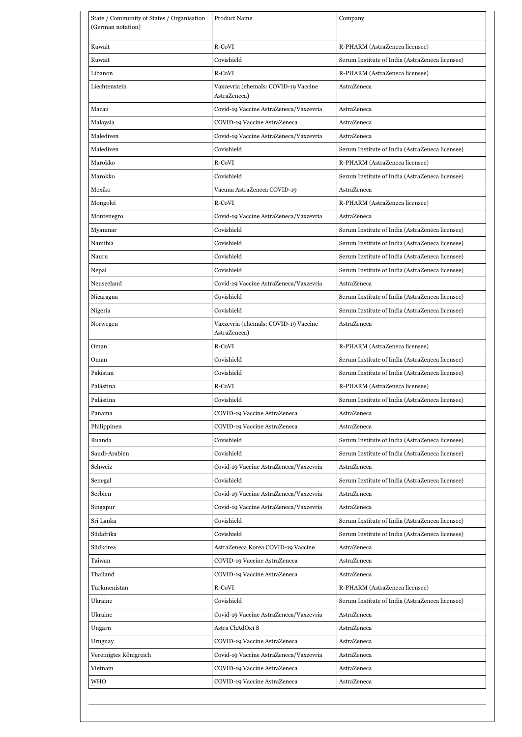| State / Community of States / Organisation<br>(German notation) | <b>Product Name</b>                                  | Company                                         |
|-----------------------------------------------------------------|------------------------------------------------------|-------------------------------------------------|
| Kuwait                                                          | R-CoVI                                               | R-PHARM (AstraZeneca licensee)                  |
| Kuwait                                                          | Covishield                                           | Serum Institute of India (AstraZeneca licensee) |
| Libanon                                                         | R-CoVI                                               | R-PHARM (AstraZeneca licensee)                  |
| Liechtenstein                                                   | Vaxzevria (ehemals: COVID-19 Vaccine<br>AstraZeneca) | AstraZeneca                                     |
| Macau                                                           | Covid-19 Vaccine AstraZeneca/Vaxzevria               | AstraZeneca                                     |
| Malaysia                                                        | COVID-19 Vaccine AstraZeneca                         | AstraZeneca                                     |
| Malediven                                                       | Covid-19 Vaccine AstraZeneca/Vaxzevria               | AstraZeneca                                     |
| Malediven                                                       | Covishield                                           | Serum Institute of India (AstraZeneca licensee) |
| Marokko                                                         | R-CoVI                                               | R-PHARM (AstraZeneca licensee)                  |
| Marokko                                                         | Covishield                                           | Serum Institute of India (AstraZeneca licensee) |
| Mexiko                                                          | Vacuna AstraZeneca COVID-19                          | AstraZeneca                                     |
| Mongolei                                                        | R-CoVI                                               | R-PHARM (AstraZeneca licensee)                  |
| Montenegro                                                      | Covid-19 Vaccine AstraZeneca/Vaxzevria               | AstraZeneca                                     |
| Myanmar                                                         | Covishield                                           | Serum Institute of India (AstraZeneca licensee) |
| Namibia                                                         | Covishield                                           | Serum Institute of India (AstraZeneca licensee) |
| Nauru                                                           | Covishield                                           | Serum Institute of India (AstraZeneca licensee) |
| Nepal                                                           | Covishield                                           | Serum Institute of India (AstraZeneca licensee) |
| Neuseeland                                                      | Covid-19 Vaccine AstraZeneca/Vaxzevria               | AstraZeneca                                     |
| Nicaragua                                                       | Covishield                                           | Serum Institute of India (AstraZeneca licensee) |
| Nigeria                                                         | Covishield                                           | Serum Institute of India (AstraZeneca licensee) |
| Norwegen                                                        | Vaxzevria (ehemals: COVID-19 Vaccine<br>AstraZeneca) | AstraZeneca                                     |
| Oman                                                            | R-CoVI                                               | R-PHARM (AstraZeneca licensee)                  |
| Oman                                                            | Covishield                                           | Serum Institute of India (AstraZeneca licensee) |
| Pakistan                                                        | Covishield                                           | Serum Institute of India (AstraZeneca licensee) |
| Palästina                                                       | R-CoVI                                               | R-PHARM (AstraZeneca licensee)                  |
| Palästina                                                       | Covishield                                           | Serum Institute of India (AstraZeneca licensee) |
| Panama                                                          | COVID-19 Vaccine AstraZeneca                         | AstraZeneca                                     |
| Philippinen                                                     | COVID-19 Vaccine AstraZeneca                         | AstraZeneca                                     |
| Ruanda                                                          | Covishield                                           | Serum Institute of India (AstraZeneca licensee) |
| Saudi-Arabien                                                   | Covishield                                           | Serum Institute of India (AstraZeneca licensee) |
| Schweiz                                                         | Covid-19 Vaccine AstraZeneca/Vaxzevria               | AstraZeneca                                     |
| Senegal                                                         | Covishield                                           | Serum Institute of India (AstraZeneca licensee) |
| Serbien                                                         | Covid-19 Vaccine AstraZeneca/Vaxzevria               | AstraZeneca                                     |
| Singapur                                                        | Covid-19 Vaccine AstraZeneca/Vaxzevria               | AstraZeneca                                     |
| Sri Lanka                                                       | Covishield                                           | Serum Institute of India (AstraZeneca licensee) |
| Südafrika                                                       | Covishield                                           | Serum Institute of India (AstraZeneca licensee) |
| Südkorea                                                        | AstraZeneca Korea COVID-19 Vaccine                   | AstraZeneca                                     |
| Taiwan                                                          | COVID-19 Vaccine AstraZeneca                         | AstraZeneca                                     |
| Thailand                                                        | COVID-19 Vaccine AstraZeneca                         | AstraZeneca                                     |
| Turkmenistan                                                    | R-CoVI                                               | R-PHARM (AstraZeneca licensee)                  |
| Ukraine                                                         | Covishield                                           | Serum Institute of India (AstraZeneca licensee) |
| Ukraine                                                         | Covid-19 Vaccine AstraZeneca/Vaxzevria               | AstraZeneca                                     |
| Ungarn                                                          | Astra ChAdOx1 S                                      | AstraZeneca                                     |
| Uruguay                                                         | COVID-19 Vaccine AstraZeneca                         | AstraZeneca                                     |
| Vereinigtes Königreich                                          | Covid-19 Vaccine AstraZeneca/Vaxzevria               | AstraZeneca                                     |
| Vietnam                                                         | COVID-19 Vaccine AstraZeneca                         | AstraZeneca                                     |
| WHO                                                             | COVID-19 Vaccine AstraZeneca                         | AstraZeneca                                     |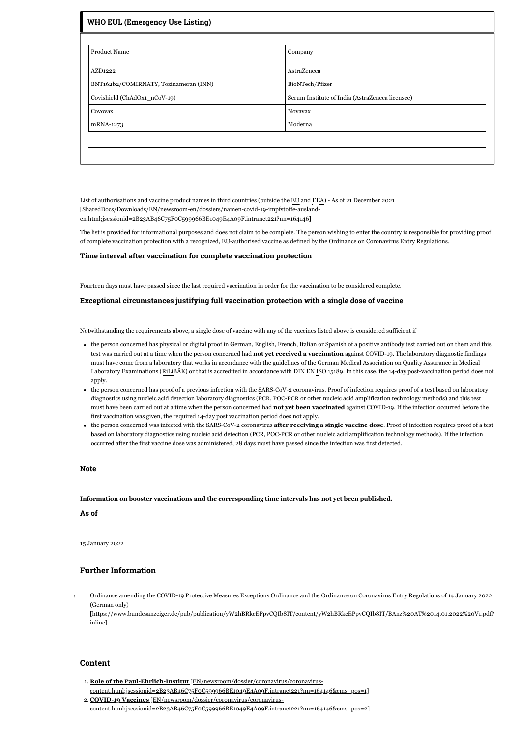| <b>WHO EUL (Emergency Use Listing)</b> |                                                 |  |
|----------------------------------------|-------------------------------------------------|--|
| <b>Product Name</b>                    | Company                                         |  |
|                                        |                                                 |  |
| AZD1222                                | AstraZeneca                                     |  |
| BNT162b2/COMIRNATY, Tozinameran (INN)  | BioNTech/Pfizer                                 |  |
| Covishield (ChAdOx1_nCoV-19)           | Serum Institute of India (AstraZeneca licensee) |  |
| Covovax                                | Novavax                                         |  |
| mRNA-1273                              | Moderna                                         |  |
|                                        |                                                 |  |
|                                        |                                                 |  |
|                                        |                                                 |  |

List of authorisations and vaccine product names in third countries (outside the EU and EEA) - As of 21 December 2021 [SharedDocs/Downloads/EN/newsroom-en/dossiers/namen-covid-19-impfstoffe-auslanden.html;jsessionid=2B23AB46C75F0C599966BE1049E4A09F.intranet221?nn=164146]

The list is provided for informational purposes and does not claim to be complete. The person wishing to enter the country is responsible for providing proof of complete vaccination protection with a recognized, EU-authorised vaccine as defined by the Ordinance on Coronavirus Entry Regulations.

#### **Time interval after vaccination for complete vaccination protection**

Fourteen days must have passed since the last required vaccination in order for the vaccination to be considered complete.

#### **Exceptional circumstances justifying full vaccination protection with a single dose of vaccine**

Notwithstanding the requirements above, a single dose of vaccine with any of the vaccines listed above is considered sufficient if

- the person concerned has physical or digital proof in German, English, French, Italian or Spanish of a positive antibody test carried out on them and this test was carried out at a time when the person concerned had **not yet received a vaccination** against COVID-19. The laboratory diagnostic findings must have come from a laboratory that works in accordance with the guidelines of the German Medical Association on Quality Assurance in Medical Laboratory Examinations (RiLiBÄK) or that is accredited in accordance with DIN EN ISO 15189. In this case, the 14-day post-vaccination period does not apply.
- the person concerned has proof of a previous infection with the SARS-CoV-2 coronavirus. Proof of infection requires proof of a test based on laboratory diagnostics using nucleic acid detection laboratory diagnostics (PCR, POC-PCR or other nucleic acid amplification technology methods) and this test must have been carried out at a time when the person concerned had **not yet been vaccinated** against COVID-19. If the infection occurred before the first vaccination was given, the required 14-day post vaccination period does not apply.
- the person concerned was infected with the SARS-CoV-2 coronavirus **after receiving a single vaccine dose**. Proof of infection requires proof of a test based on laboratory diagnostics using nucleic acid detection (PCR, POC-PCR or other nucleic acid amplification technology methods). If the infection occurred after the first vaccine dose was administered, 28 days must have passed since the infection was first detected.

#### **Note**

**Information on booster vaccinations and the corresponding time intervals has not yet been published.**

### **As of**

15 January 2022

## **Further Information**

Ordinance amending the COVID-19 Protective Measures Exceptions Ordinance and the Ordinance on Coronavirus Entry Regulations of 14 January 2022 (German only)

[\[https://www.bundesanzeiger.de/pub/publication/yW2hBRkcEPpvCQIb8IT/content/yW2hBRkcEPpvCQIb8IT/BAnz%20AT%2014.01.2022%20V1.pdf?](https://www.bundesanzeiger.de/pub/publication/yW2hBRkcEPpvCQIb8IT/content/yW2hBRkcEPpvCQIb8IT/BAnz%20AT%2014.01.2022%20V1.pdf?inline) inline]

#### **Content**

- 1. **Role of the Paul-Ehrlich-Institut** [EN/newsroom/dossier/coronavirus/coronavirus-
- [content.html;jsessionid=2B23AB46C75F0C599966BE1049E4A09F.intranet221?nn=164146&cms\\_pos=1\]](https://www.pei.de/EN/newsroom/dossier/coronavirus/coronavirus-content.html;jsessionid=2B23AB46C75F0C599966BE1049E4A09F.intranet221?nn=164146&cms_pos=1) 2. **COVID-19 Vaccines** [EN/newsroom/dossier/coronavirus/coronavirus-

[content.html;jsessionid=2B23AB46C75F0C599966BE1049E4A09F.intranet221?nn=164146&cms\\_pos=2\]](https://www.pei.de/EN/newsroom/dossier/coronavirus/coronavirus-content.html;jsessionid=2B23AB46C75F0C599966BE1049E4A09F.intranet221?nn=164146&cms_pos=2)